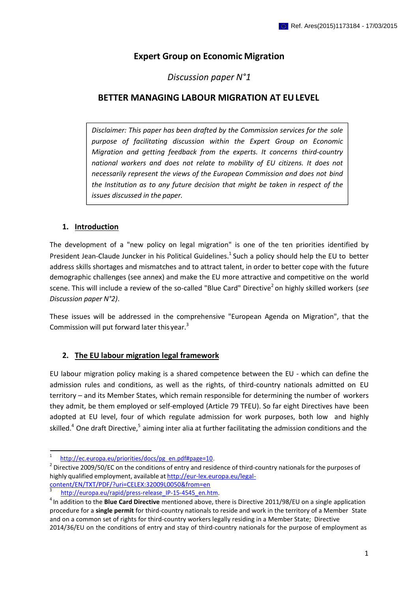# **Expert Group on Economic Migration**

# *Discussion paper N°1*

# **BETTER MANAGING LABOUR MIGRATION AT EULEVEL**

*Disclaimer: This paper has been drafted by the Commission services for the sole purpose of facilitating discussion within the Expert Group on Economic Migration and getting feedback from the experts. It concerns third-country national workers and does not relate to mobility of EU citizens. It does not necessarily represent the views of the European Commission and does not bind the Institution as to any future decision that might be taken in respect of the issues discussed in the paper.*

## **1. Introduction**

The development of a "new policy on legal migration" is one of the ten priorities identified by President Jean-Claude Juncker in his Political Guidelines.<sup>1</sup> Such a policy should help the EU to better address skills shortages and mismatches and to attract talent, in order to better cope with the future demographic challenges (see annex) and make the EU more attractive and competitive on the world scene. This will include a review of the so-called "Blue Card" Directive<sup>2</sup> on highly skilled workers (see *Discussion paper N°2)*.

These issues will be addressed in the comprehensive "European Agenda on Migration", that the Commission will put forward later this year.<sup>3</sup>

## **2. The EU labour migration legal framework**

EU labour migration policy making is a shared competence between the EU - which can define the admission rules and conditions, as well as the rights, of third-country nationals admitted on EU territory – and its Member States, which remain responsible for determining the number of workers they admit, be them employed or self-employed (Article 79 TFEU). So far eight Directives have been adopted at EU level, four of which regulate admission for work purposes, both low and highly skilled.<sup>4</sup> One draft Directive,<sup>5</sup> aiming inter alia at further facilitating the admission conditions and the

[http://ec.europa.eu/priorities/docs/pg\\_en.pdf#page=10.](http://ec.europa.eu/priorities/docs/pg_en.pdf#page%3D10)

 $^{2}$  Directive 2009/50/EC on the conditions of entry and residence of third-country nationals for the purposes of highly qualified employment, available at [http://eur-lex.europa.eu/legal](http://eur-lex.europa.eu/legal-)content/EN/TXT/PDF/?uri=CELEX:32009L0050&from=en

http://europa.eu/rapid/press-release IP-15-4545 en.htm.

<sup>&</sup>lt;sup>4</sup> In addition to the **Blue Card Directive** mentioned above, there is Directive 2011/98/EU on a single application procedure for a **single permit** for third-country nationals to reside and work in the territory of a Member State and on a common set of rights for third-country workers legally residing in a Member State; Directive 2014/36/EU on the conditions of entry and stay of third-country nationals for the purpose of employment as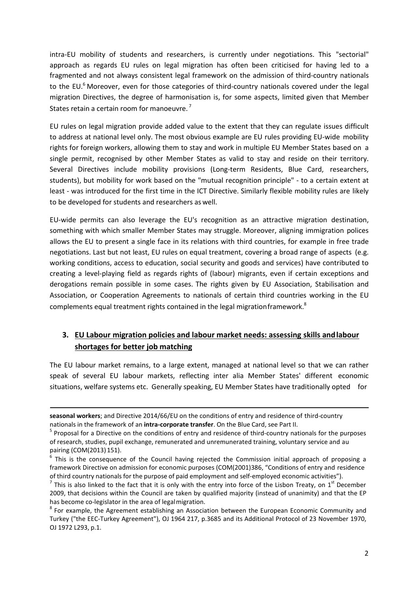intra-EU mobility of students and researchers, is currently under negotiations. This "sectorial" approach as regards EU rules on legal migration has often been criticised for having led to a fragmented and not always consistent legal framework on the admission of third-country nationals to the EU.<sup>6</sup> Moreover, even for those categories of third-country nationals covered under the legal migration Directives, the degree of harmonisation is, for some aspects, limited given that Member States retain a certain room for manoeuvre.<sup>7</sup>

EU rules on legal migration provide added value to the extent that they can regulate issues difficult to address at national level only. The most obvious example are EU rules providing EU-wide mobility rights for foreign workers, allowing them to stay and work in multiple EU Member States based on a single permit, recognised by other Member States as valid to stay and reside on their territory. Several Directives include mobility provisions (Long-term Residents, Blue Card, researchers, students), but mobility for work based on the "mutual recognition principle" - to a certain extent at least - was introduced for the first time in the ICT Directive. Similarly flexible mobility rules are likely to be developed for students and researchers as well.

EU-wide permits can also leverage the EU's recognition as an attractive migration destination, something with which smaller Member States may struggle. Moreover, aligning immigration polices allows the EU to present a single face in its relations with third countries, for example in free trade negotiations. Last but not least, EU rules on equal treatment, covering a broad range of aspects (e.g. working conditions, access to education, social security and goods and services) have contributed to creating a level-playing field as regards rights of (labour) migrants, even if certain exceptions and derogations remain possible in some cases. The rights given by EU Association, Stabilisation and Association, or Cooperation Agreements to nationals of certain third countries working in the EU complements equal treatment rights contained in the legal migration framework.<sup>8</sup>

# **3. EU Labour migration policies and labour market needs: assessing skills andlabour shortages for better job matching**

The EU labour market remains, to a large extent, managed at national level so that we can rather speak of several EU labour markets, reflecting inter alia Member States' different economic situations, welfare systems etc. Generally speaking, EU Member States have traditionally opted for

**seasonal workers**; and Directive 2014/66/EU on the conditions of entry and residence of third-country nationals in the framework of an **intra-corporate transfer**. On the Blue Card, see Part II.

<sup>&</sup>lt;sup>5</sup> Proposal for a Directive on the conditions of entry and residence of third-country nationals for the purposes of research, studies, pupil exchange, remunerated and unremunerated training, voluntary service and au pairing (COM(2013) 151).

 $6$  This is the consequence of the Council having rejected the Commission initial approach of proposing a framework Directive on admission for economic purposes (COM(2001)386, "Conditions of entry and residence of third country nationals for the purpose of paid employment and self-employed economic activities").

 $^7$  This is also linked to the fact that it is only with the entry into force of the Lisbon Treaty, on  $1^{\text{st}}$  December 2009, that decisions within the Council are taken by qualified majority (instead of unanimity) and that the EP has become co-legislator in the area of legalmigration.

 $8$  For example, the Agreement establishing an Association between the European Economic Community and Turkey ("the EEC-Turkey Agreement"), OJ 1964 217, p.3685 and its Additional Protocol of 23 November 1970, OJ 1972 L293, p.1.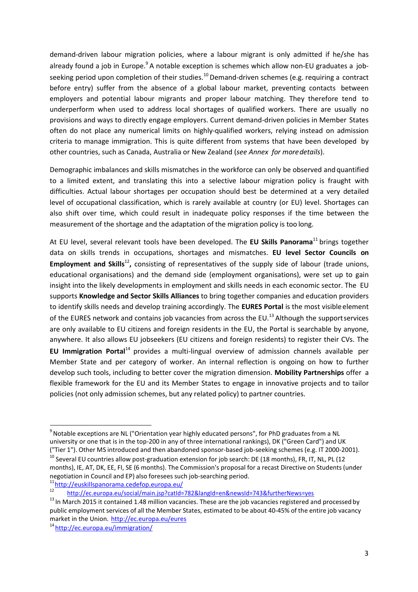demand-driven labour migration policies, where a labour migrant is only admitted if he/she has already found a job in Europe.<sup>9</sup> A notable exception is schemes which allow non-EU graduates a jobseeking period upon completion of their studies.<sup>10</sup> Demand-driven schemes (e.g. requiring a contract before entry) suffer from the absence of a global labour market, preventing contacts between employers and potential labour migrants and proper labour matching. They therefore tend to underperform when used to address local shortages of qualified workers. There are usually no provisions and ways to directly engage employers. Current demand-driven policies in Member States often do not place any numerical limits on highly-qualified workers, relying instead on admission criteria to manage immigration. This is quite different from systems that have been developed by other countries, such as Canada, Australia or New Zealand (*see Annex for moredetails*).

Demographic imbalances and skills mismatches in the workforce can only be observed and quantified to a limited extent, and translating this into a selective labour migration policy is fraught with difficulties. Actual labour shortages per occupation should best be determined at a very detailed level of occupational classification, which is rarely available at country (or EU) level. Shortages can also shift over time, which could result in inadequate policy responses if the time between the measurement of the shortage and the adaptation of the migration policy is too long.

At EU level, several relevant tools have been developed. The **EU Skills Panorama**<sup>11</sup> brings together data on skills trends in occupations, shortages and mismatches. **EU level Sector Councils on Employment and Skills<sup>12</sup>**, consisting of representatives of the supply side of labour (trade unions, educational organisations) and the demand side (employment organisations), were set up to gain insight into the likely developments in employment and skills needs in each economic sector. The EU supports **Knowledge and Sector Skills Alliances** to bring together companies and education providers to identify skills needs and develop training accordingly. The **EURES Portal** is the most visibleelement of the EURES network and contains job vacancies from across the EU.<sup>13</sup> Although the support services are only available to EU citizens and foreign residents in the EU, the Portal is searchable by anyone, anywhere. It also allows EU jobseekers (EU citizens and foreign residents) to register their CVs. The **EU Immigration Portal**<sup>14</sup> provides a multi-lingual overview of admission channels available per Member State and per category of worker. An internal reflection is ongoing on how to further develop such tools, including to better cover the migration dimension. **Mobility Partnerships** offer a flexible framework for the EU and its Member States to engage in innovative projects and to tailor policies (not only admission schemes, but any related policy) to partner countries.

<sup>&</sup>lt;sup>9</sup> Notable exceptions are NL ("Orientation year highly educated persons", for PhD graduates from a NL university or one that is in the top-200 in any of three international rankings), DK ("Green Card") and UK ("Tier 1"). Other MS introduced and then abandoned sponsor-based job-seeking schemes (e.g. IT 2000-2001).  $10$  Several EU countries allow post-graduation extension for job search: DE (18 months), FR, IT, NL, PL (12

months), IE, AT, DK, EE, FI, SE (6 months). The Commission's proposal for a recast Directive on Students (under negotiation in Council and EP) also foresees such job-searching period.

 $\frac{11}{12}$ <http://euskillspanorama.cedefop.europa.eu/>

<sup>12</sup><http://ec.europa.eu/social/main.jsp?catId=782&langId=en&newsId=743&furtherNews=yes>

<sup>&</sup>lt;sup>13</sup> In March 2015 it contained 1.48 million vacancies. These are the job vacancies registered and processed by public employment services of all the Member States, estimated to be about 40-45% of the entire job vacancy market in the Union. <http://ec.europa.eu/eures>

<sup>14</sup><http://ec.europa.eu/immigration/>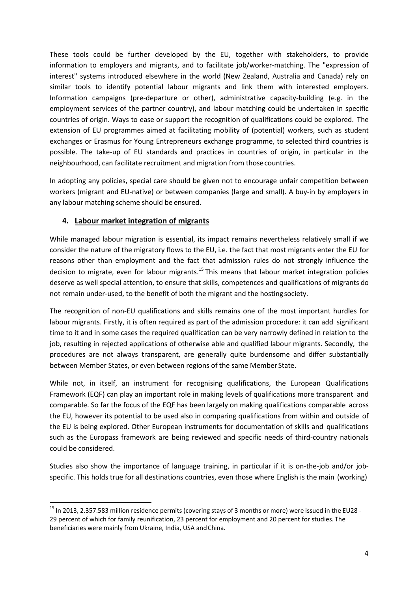These tools could be further developed by the EU, together with stakeholders, to provide information to employers and migrants, and to facilitate job/worker-matching. The "expression of interest" systems introduced elsewhere in the world (New Zealand, Australia and Canada) rely on similar tools to identify potential labour migrants and link them with interested employers. Information campaigns (pre-departure or other), administrative capacity-building (e.g. in the employment services of the partner country), and labour matching could be undertaken in specific countries of origin. Ways to ease or support the recognition of qualifications could be explored. The extension of EU programmes aimed at facilitating mobility of (potential) workers, such as student exchanges or Erasmus for Young Entrepreneurs exchange programme, to selected third countries is possible. The take-up of EU standards and practices in countries of origin, in particular in the neighbourhood, can facilitate recruitment and migration from thosecountries.

In adopting any policies, special care should be given not to encourage unfair competition between workers (migrant and EU-native) or between companies (large and small). A buy-in by employers in any labour matching scheme should be ensured.

## **4. Labour market integration of migrants**

While managed labour migration is essential, its impact remains nevertheless relatively small if we consider the nature of the migratory flows to the EU, i.e. the fact that most migrants enter the EU for reasons other than employment and the fact that admission rules do not strongly influence the decision to migrate, even for labour migrants.<sup>15</sup> This means that labour market integration policies deserve as well special attention, to ensure that skills, competences and qualifications of migrants do not remain under-used, to the benefit of both the migrant and the hostingsociety.

The recognition of non-EU qualifications and skills remains one of the most important hurdles for labour migrants. Firstly, it is often required as part of the admission procedure: it can add significant time to it and in some cases the required qualification can be very narrowly defined in relation to the job, resulting in rejected applications of otherwise able and qualified labour migrants. Secondly, the procedures are not always transparent, are generally quite burdensome and differ substantially between Member States, or even between regions of the same Member State.

While not, in itself, an instrument for recognising qualifications, the European Qualifications Framework (EQF) can play an important role in making levels of qualifications more transparent and comparable. So far the focus of the EQF has been largely on making qualifications comparable across the EU, however its potential to be used also in comparing qualifications from within and outside of the EU is being explored. Other European instruments for documentation of skills and qualifications such as the Europass framework are being reviewed and specific needs of third-country nationals could be considered.

Studies also show the importance of language training, in particular if it is on-the-job and/or jobspecific. This holds true for all destinations countries, even those where English is the main (working)

<sup>&</sup>lt;sup>15</sup> In 2013, 2.357.583 million residence permits (covering stays of 3 months or more) were issued in the EU28 -29 percent of which for family reunification, 23 percent for employment and 20 percent for studies. The beneficiaries were mainly from Ukraine, India, USA andChina.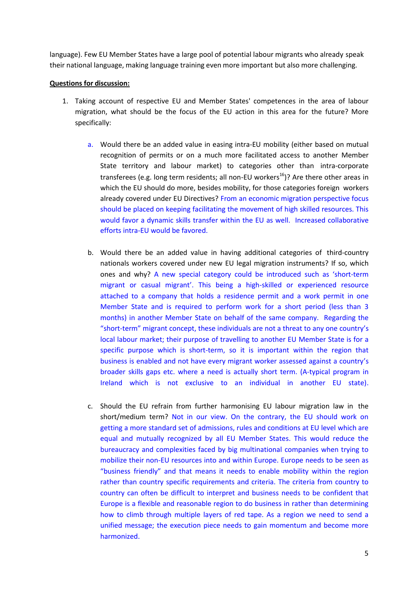language). Few EU Member States have a large pool of potential labour migrants who already speak their national language, making language training even more important but also more challenging.

## **Questions for discussion:**

- 1. Taking account of respective EU and Member States' competences in the area of labour migration, what should be the focus of the EU action in this area for the future? More specifically:
	- a. Would there be an added value in easing intra-EU mobility (either based on mutual recognition of permits or on a much more facilitated access to another Member State territory and labour market) to categories other than intra-corporate transferees (e.g. long term residents; all non-EU workers<sup>16</sup>)? Are there other areas in which the EU should do more, besides mobility, for those categories foreign workers already covered under EU Directives? From an economic migration perspective focus should be placed on keeping facilitating the movement of high skilled resources. This would favor a dynamic skills transfer within the EU as well. Increased collaborative efforts intra-EU would be favored.
	- b. Would there be an added value in having additional categories of third-country nationals workers covered under new EU legal migration instruments? If so, which ones and why? A new special category could be introduced such as 'short-term migrant or casual migrant'. This being a high-skilled or experienced resource attached to a company that holds a residence permit and a work permit in one Member State and is required to perform work for a short period (less than 3 months) in another Member State on behalf of the same company. Regarding the "short-term" migrant concept, these individuals are not a threat to any one country's local labour market; their purpose of travelling to another EU Member State is for a specific purpose which is short-term, so it is important within the region that business is enabled and not have every migrant worker assessed against a country's broader skills gaps etc. where a need is actually short term. (A-typical program in Ireland which is not exclusive to an individual in another EU state).
	- c. Should the EU refrain from further harmonising EU labour migration law in the short/medium term? Not in our view. On the contrary, the EU should work on getting a more standard set of admissions, rules and conditions at EU level which are equal and mutually recognized by all EU Member States. This would reduce the bureaucracy and complexities faced by big multinational companies when trying to mobilize their non-EU resources into and within Europe. Europe needs to be seen as "business friendly" and that means it needs to enable mobility within the region rather than country specific requirements and criteria. The criteria from country to country can often be difficult to interpret and business needs to be confident that Europe is a flexible and reasonable region to do business in rather than determining how to climb through multiple layers of red tape. As a region we need to send a unified message; the execution piece needs to gain momentum and become more harmonized.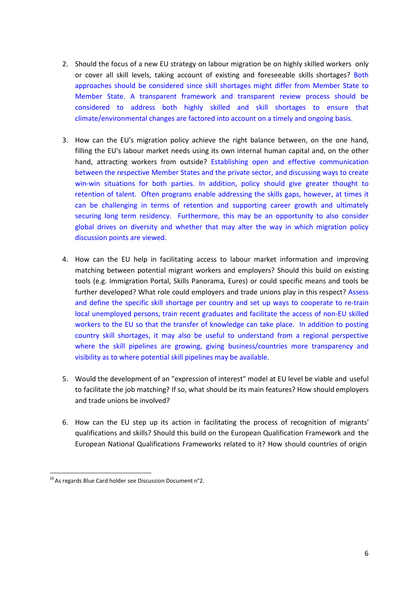- 2. Should the focus of a new EU strategy on labour migration be on highly skilled workers only or cover all skill levels, taking account of existing and foreseeable skills shortages? Both approaches should be considered since skill shortages might differ from Member State to Member State. A transparent framework and transparent review process should be considered to address both highly skilled and skill shortages to ensure that climate/environmental changes are factored into account on a timely and ongoing basis.
- 3. How can the EU's migration policy achieve the right balance between, on the one hand, filling the EU's labour market needs using its own internal human capital and, on the other hand, attracting workers from outside? Establishing open and effective communication between the respective Member States and the private sector, and discussing ways to create win-win situations for both parties. In addition, policy should give greater thought to retention of talent. Often programs enable addressing the skills gaps, however, at times it can be challenging in terms of retention and supporting career growth and ultimately securing long term residency. Furthermore, this may be an opportunity to also consider global drives on diversity and whether that may alter the way in which migration policy discussion points are viewed.
- 4. How can the EU help in facilitating access to labour market information and improving matching between potential migrant workers and employers? Should this build on existing tools (e.g. Immigration Portal, Skills Panorama, Eures) or could specific means and tools be further developed? What role could employers and trade unions play in this respect? Assess and define the specific skill shortage per country and set up ways to cooperate to re-train local unemployed persons, train recent graduates and facilitate the access of non-EU skilled workers to the EU so that the transfer of knowledge can take place. In addition to posting country skill shortages, it may also be useful to understand from a regional perspective where the skill pipelines are growing, giving business/countries more transparency and visibility as to where potential skill pipelines may be available.
- 5. Would the development of an "expression of interest" model at EU level be viable and useful to facilitate the job matching? If so, what should be its main features? How should employers and trade unions be involved?
- 6. How can the EU step up its action in facilitating the process of recognition of migrants' qualifications and skills? Should this build on the European Qualification Framework and the European National Qualifications Frameworks related to it? How should countries of origin

<sup>&</sup>lt;sup>16</sup> As regards Blue Card holder see Discussion Document n°2.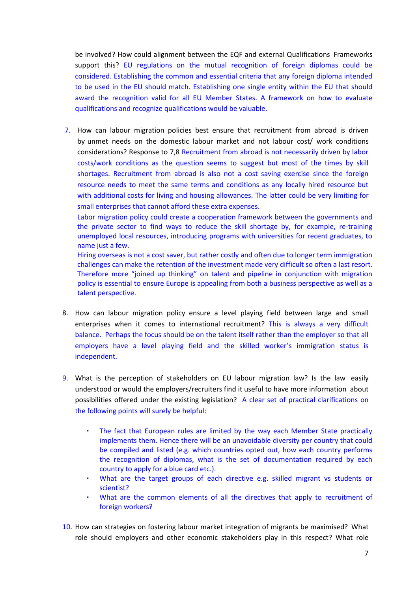be involved? How could alignment between the EQF and external Qualifications Frameworks support this? EU regulations on the mutual recognition of foreign diplomas could be considered. Establishing the common and essential criteria that any foreign diploma intended to be used in the EU should match. Establishing one single entity within the EU that should award the recognition valid for all EU Member States. A framework on how to evaluate qualifications and recognize qualifications would be valuable.

7. How can labour migration policies best ensure that recruitment from abroad is driven by unmet needs on the domestic labour market and not labour cost/ work conditions considerations? Response to 7,8 Recruitment from abroad is not necessarily driven by labor costs/work conditions as the question seems to suggest but most of the times by skill shortages. Recruitment from abroad is also not a cost saving exercise since the foreign resource needs to meet the same terms and conditions as any locally hired resource but with additional costs for living and housing allowances. The latter could be very limiting for small enterprises that cannot afford these extra expenses.

Labor migration policy could create a cooperation framework between the governments and the private sector to find ways to reduce the skill shortage by, for example, re-training unemployed local resources, introducing programs with universities for recent graduates, to name just a few.

Hiring overseas is not a cost saver, but rather costly and often due to longer term immigration challenges can make the retention of the investment made very difficult so often a last resort. Therefore more "joined up thinking" on talent and pipeline in conjunction with migration policy is essential to ensure Europe is appealing from both a business perspective as well as a talent perspective.

- 8. How can labour migration policy ensure a level playing field between large and small enterprises when it comes to international recruitment? This is always a very difficult balance. Perhaps the focus should be on the talent itself rather than the employer so that all employers have a level playing field and the skilled worker's immigration status is independent.
- 9. What is the perception of stakeholders on EU labour migration law? Is the law easily understood or would the employers/recruiters find it useful to have more information about possibilities offered under the existing legislation? A clear set of practical clarifications on the following points will surely be helpful:
	- The fact that European rules are limited by the way each Member State practically implements them. Hence there will be an unavoidable diversity per country that could be compiled and listed (e.g. which countries opted out, how each country performs the recognition of diplomas, what is the set of documentation required by each country to apply for a blue card etc.).
	- What are the target groups of each directive e.g. skilled migrant vs students or scientist?
	- What are the common elements of all the directives that apply to recruitment of foreign workers?
- 10. How can strategies on fostering labour market integration of migrants be maximised? What role should employers and other economic stakeholders play in this respect? What role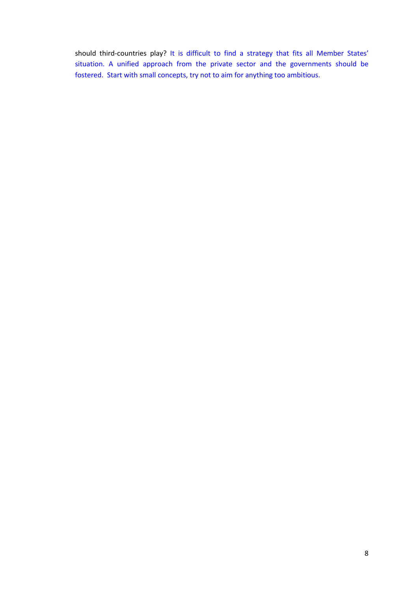should third-countries play? It is difficult to find a strategy that fits all Member States' situation. A unified approach from the private sector and the governments should be fostered. Start with small concepts, try not to aim for anything too ambitious.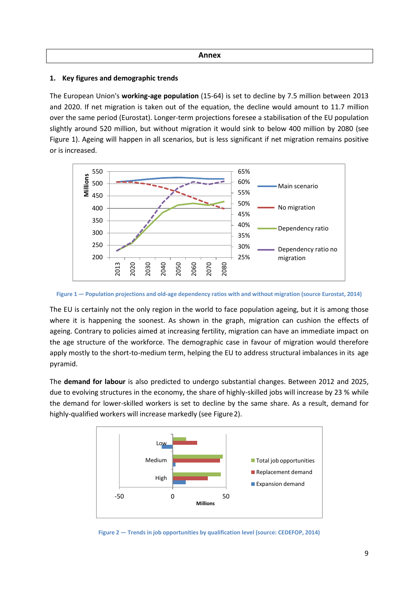#### **Annex**

## **1. Key figures and demographic trends**

The European Union's **working-age population** (15-64) is set to decline by 7.5 million between 2013 and 2020. If net migration is taken out of the equation, the decline would amount to 11.7 million over the same period (Eurostat). Longer-term projections foresee a stabilisation of the EU population slightly around 520 million, but without migration it would sink to below 400 million by 2080 (see Figure 1). Ageing will happen in all scenarios, but is less significant if net migration remains positive or is increased.



Figure 1 - Population projections and old-age dependency ratios with and without migration (source Eurostat, 2014)

The EU is certainly not the only region in the world to face population ageing, but it is among those where it is happening the soonest. As shown in the graph, migration can cushion the effects of ageing. Contrary to policies aimed at increasing fertility, migration can have an immediate impact on the age structure of the workforce. The demographic case in favour of migration would therefore apply mostly to the short-to-medium term, helping the EU to address structural imbalances in its age pyramid.

The **demand for labour** is also predicted to undergo substantial changes. Between 2012 and 2025, due to evolving structures in the economy, the share of highly-skilled jobs will increase by 23 % while the demand for lower-skilled workers is set to decline by the same share. As a result, demand for highly-qualified workers will increase markedly (see Figure2).